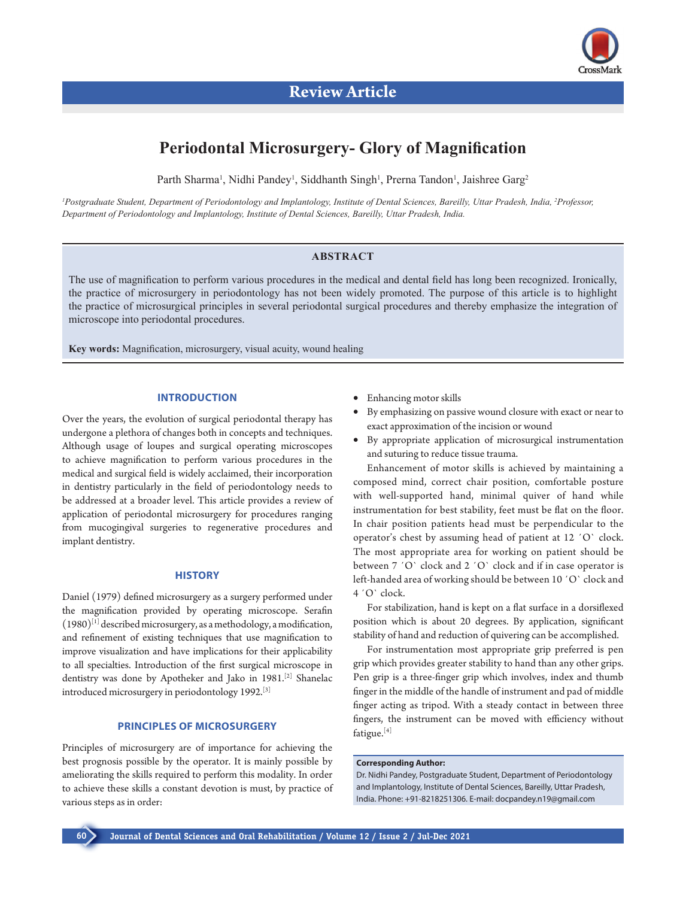

# **Periodontal Microsurgery- Glory of Magnification**

Parth Sharma<sup>1</sup>, Nidhi Pandey<sup>1</sup>, Siddhanth Singh<sup>1</sup>, Prerna Tandon<sup>1</sup>, Jaishree Garg<sup>2</sup>

*1 Postgraduate Student, Department of Periodontology and Implantology, Institute of Dental Sciences, Bareilly, Uttar Pradesh, India, 2 Professor, Department of Periodontology and Implantology, Institute of Dental Sciences, Bareilly, Uttar Pradesh, India.*

# **ABSTRACT**

The use of magnification to perform various procedures in the medical and dental field has long been recognized. Ironically, the practice of microsurgery in periodontology has not been widely promoted. The purpose of this article is to highlight the practice of microsurgical principles in several periodontal surgical procedures and thereby emphasize the integration of microscope into periodontal procedures.

**Key words:** Magnification, microsurgery, visual acuity, wound healing

# **INTRODUCTION**

Over the years, the evolution of surgical periodontal therapy has undergone a plethora of changes both in concepts and techniques. Although usage of loupes and surgical operating microscopes to achieve magnification to perform various procedures in the medical and surgical field is widely acclaimed, their incorporation in dentistry particularly in the field of periodontology needs to be addressed at a broader level. This article provides a review of application of periodontal microsurgery for procedures ranging from mucogingival surgeries to regenerative procedures and implant dentistry.

# **HISTORY**

Daniel (1979) defined microsurgery as a surgery performed under the magnification provided by operating microscope. Serafin  $(1980)^{[1]}$  described microsurgery, as a methodology, a modification, and refinement of existing techniques that use magnification to improve visualization and have implications for their applicability to all specialties. Introduction of the first surgical microscope in dentistry was done by Apotheker and Jako in 1981.[2] Shanelac introduced microsurgery in periodontology 1992.[3]

# **PRINCIPLES OF MICROSURGERY**

Principles of microsurgery are of importance for achieving the best prognosis possible by the operator. It is mainly possible by ameliorating the skills required to perform this modality. In order to achieve these skills a constant devotion is must, by practice of various steps as in order:

- Enhancing motor skills
- By emphasizing on passive wound closure with exact or near to exact approximation of the incision or wound
- • By appropriate application of microsurgical instrumentation and suturing to reduce tissue trauma.

Enhancement of motor skills is achieved by maintaining a composed mind, correct chair position, comfortable posture with well-supported hand, minimal quiver of hand while instrumentation for best stability, feet must be flat on the floor. In chair position patients head must be perpendicular to the operator's chest by assuming head of patient at 12 ´O` clock. The most appropriate area for working on patient should be between 7 'O' clock and 2 'O' clock and if in case operator is left-handed area of working should be between 10 ´O` clock and 4 ´O` clock.

For stabilization, hand is kept on a flat surface in a dorsiflexed position which is about 20 degrees. By application, significant stability of hand and reduction of quivering can be accomplished.

For instrumentation most appropriate grip preferred is pen grip which provides greater stability to hand than any other grips. Pen grip is a three-finger grip which involves, index and thumb finger in the middle of the handle of instrument and pad of middle finger acting as tripod. With a steady contact in between three fingers, the instrument can be moved with efficiency without fatigue.[4]

# **Corresponding Author:**

Dr. Nidhi Pandey, Postgraduate Student, Department of Periodontology and Implantology, Institute of Dental Sciences, Bareilly, Uttar Pradesh, India. Phone: +91-8218251306. E-mail: docpandey.n19@gmail.com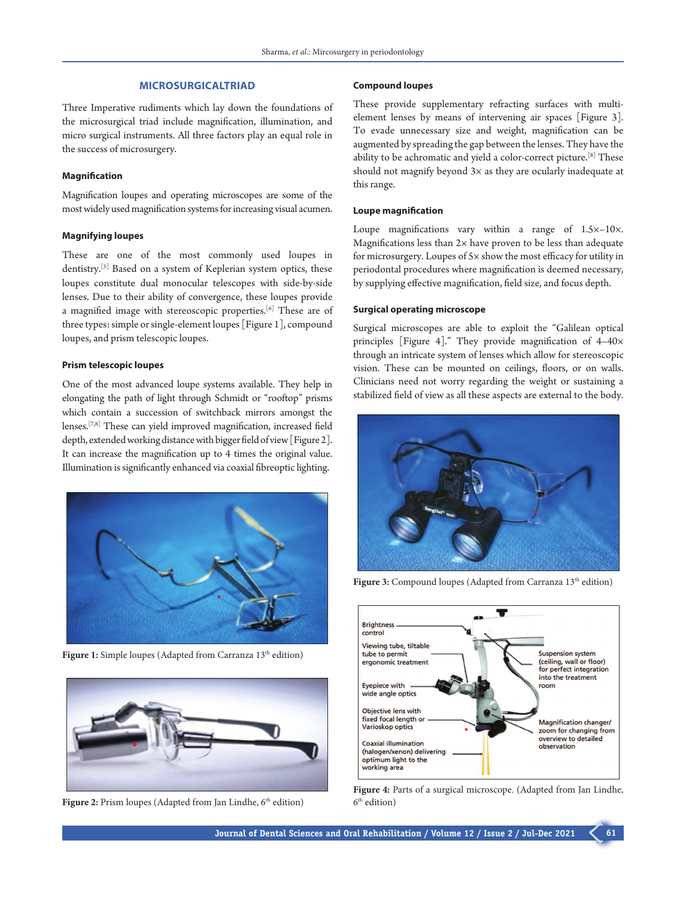# **MICROSURGICALTRIAD**

Three Imperative rudiments which lay down the foundations of the microsurgical triad include magnification, illumination, and micro surgical instruments. All three factors play an equal role in the success of microsurgery.

# **Magnification**

Magnification loupes and operating microscopes are some of the most widely used magnification systems for increasing visual acumen.

#### **Magnifying loupes**

These are one of the most commonly used loupes in dentistry.[5] Based on a system of Keplerian system optics, these loupes constitute dual monocular telescopes with side-by-side lenses. Due to their ability of convergence, these loupes provide a magnified image with stereoscopic properties.[6] These are of three types: simple or single-element loupes [Figure 1], compound loupes, and prism telescopic loupes.

# **Prism telescopic loupes**

One of the most advanced loupe systems available. They help in elongating the path of light through Schmidt or "rooftop" prisms which contain a succession of switchback mirrors amongst the lenses.[7,8] These can yield improved magnification, increased field depth, extended working distance with bigger field of view [Figure2]. It can increase the magnification up to 4 times the original value. Illumination is significantly enhanced via coaxial fibreoptic lighting.



Figure 1: Simple loupes (Adapted from Carranza 13<sup>th</sup> edition)



Figure 2: Prism loupes (Adapted from Jan Lindhe, 6<sup>th</sup> edition)

# **Compound loupes**

These provide supplementary refracting surfaces with multielement lenses by means of intervening air spaces [Figure 3]. To evade unnecessary size and weight, magnification can be augmented by spreading the gap between the lenses. They have the ability to be achromatic and yield a color-correct picture.[8] These should not magnify beyond  $3\times$  as they are ocularly inadequate at this range.

#### **Loupe magnification**

Loupe magnifications vary within a range of 1.5×–10×. Magnifications less than  $2x$  have proven to be less than adequate for microsurgery. Loupes of 5× show the most efficacy for utility in periodontal procedures where magnification is deemed necessary, by supplying effective magnification, field size, and focus depth.

# **Surgical operating microscope**

Surgical microscopes are able to exploit the "Galilean optical principles [Figure 4]." They provide magnification of 4–40× through an intricate system of lenses which allow for stereoscopic vision. These can be mounted on ceilings, floors, or on walls. Clinicians need not worry regarding the weight or sustaining a stabilized field of view as all these aspects are external to the body.



Figure 3: Compound loupes (Adapted from Carranza 13<sup>th</sup> edition)



**Figure 4:** Parts of a surgical microscope. (Adapted from Jan Lindhe, 6th edition)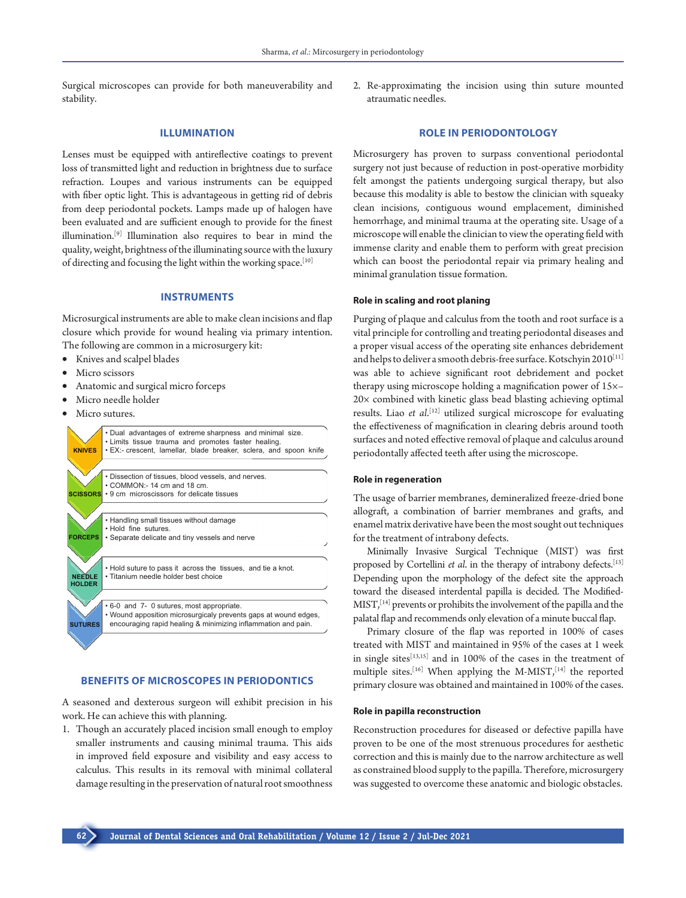Surgical microscopes can provide for both maneuverability and stability.

# **ILLUMINATION**

Lenses must be equipped with antireflective coatings to prevent loss of transmitted light and reduction in brightness due to surface refraction. Loupes and various instruments can be equipped with fiber optic light. This is advantageous in getting rid of debris from deep periodontal pockets. Lamps made up of halogen have been evaluated and are sufficient enough to provide for the finest illumination.[9] Illumination also requires to bear in mind the quality, weight, brightness of the illuminating source with the luxury of directing and focusing the light within the working space.[10]

# **INSTRUMENTS**

Microsurgical instruments are able to make clean incisions and flap closure which provide for wound healing via primary intention. The following are common in a microsurgery kit:

- Knives and scalpel blades
- Micro scissors
- Anatomic and surgical micro forceps
- Micro needle holder
- Micro sutures.



# **BENEFITS OF MICROSCOPES IN PERIODONTICS**

A seasoned and dexterous surgeon will exhibit precision in his work. He can achieve this with planning.

1. Though an accurately placed incision small enough to employ smaller instruments and causing minimal trauma. This aids in improved field exposure and visibility and easy access to calculus. This results in its removal with minimal collateral damage resulting in the preservation of natural root smoothness

2. Re-approximating the incision using thin suture mounted atraumatic needles.

# **ROLE IN PERIODONTOLOGY**

Microsurgery has proven to surpass conventional periodontal surgery not just because of reduction in post-operative morbidity felt amongst the patients undergoing surgical therapy, but also because this modality is able to bestow the clinician with squeaky clean incisions, contiguous wound emplacement, diminished hemorrhage, and minimal trauma at the operating site. Usage of a microscope will enable the clinician to view the operating field with immense clarity and enable them to perform with great precision which can boost the periodontal repair via primary healing and minimal granulation tissue formation.

# **Role in scaling and root planing**

Purging of plaque and calculus from the tooth and root surface is a vital principle for controlling and treating periodontal diseases and a proper visual access of the operating site enhances debridement and helps to deliver a smooth debris-free surface. Kotschyin 2010<sup>[11]</sup> was able to achieve significant root debridement and pocket therapy using microscope holding a magnification power of 15×– 20× combined with kinetic glass bead blasting achieving optimal results. Liao *et al*. [12] utilized surgical microscope for evaluating the effectiveness of magnification in clearing debris around tooth surfaces and noted effective removal of plaque and calculus around periodontally affected teeth after using the microscope.

#### **Role in regeneration**

The usage of barrier membranes, demineralized freeze-dried bone allograft, a combination of barrier membranes and grafts, and enamel matrix derivative have been the most sought out techniques for the treatment of intrabony defects.

Minimally Invasive Surgical Technique (MIST) was first proposed by Cortellini *et al.* in the therapy of intrabony defects.<sup>[13]</sup> Depending upon the morphology of the defect site the approach toward the diseased interdental papilla is decided. The Modified-MIST,<sup>[14]</sup> prevents or prohibits the involvement of the papilla and the palatal flap and recommends only elevation of a minute buccal flap.

Primary closure of the flap was reported in 100% of cases treated with MIST and maintained in 95% of the cases at 1 week in single sites[13,15] and in 100% of the cases in the treatment of multiple sites.<sup>[16]</sup> When applying the M-MIST,<sup>[14]</sup> the reported primary closure was obtained and maintained in 100% of the cases.

#### **Role in papilla reconstruction**

Reconstruction procedures for diseased or defective papilla have proven to be one of the most strenuous procedures for aesthetic correction and this is mainly due to the narrow architecture as well as constrained blood supply to the papilla. Therefore, microsurgery was suggested to overcome these anatomic and biologic obstacles.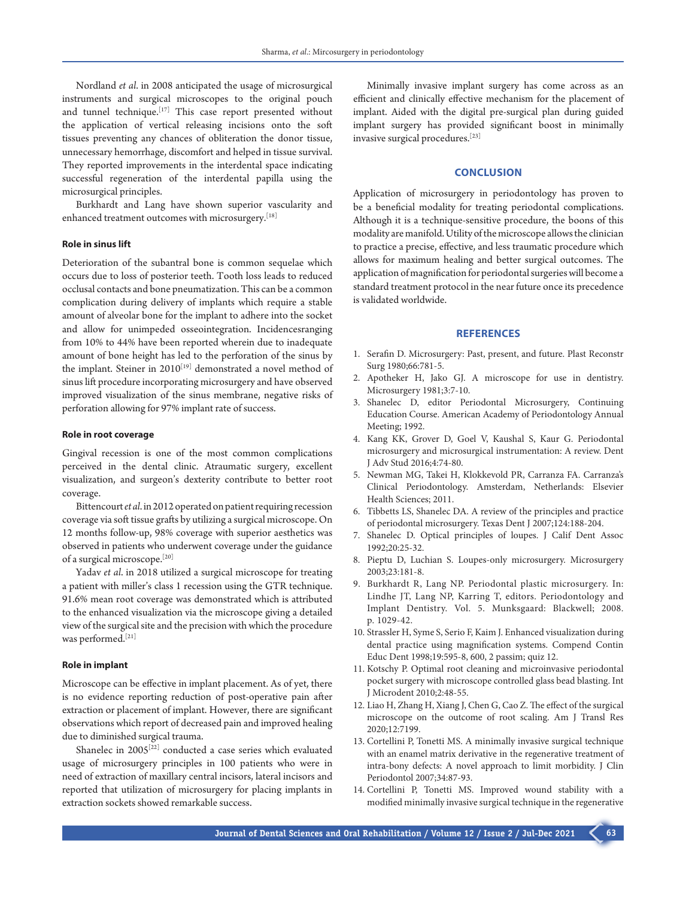Nordland *et al*. in 2008 anticipated the usage of microsurgical instruments and surgical microscopes to the original pouch and tunnel technique.<sup>[17]</sup> This case report presented without the application of vertical releasing incisions onto the soft tissues preventing any chances of obliteration the donor tissue, unnecessary hemorrhage, discomfort and helped in tissue survival. They reported improvements in the interdental space indicating successful regeneration of the interdental papilla using the microsurgical principles.

Burkhardt and Lang have shown superior vascularity and enhanced treatment outcomes with microsurgery.<sup>[18]</sup>

#### **Role in sinus lift**

Deterioration of the subantral bone is common sequelae which occurs due to loss of posterior teeth. Tooth loss leads to reduced occlusal contacts and bone pneumatization. This can be a common complication during delivery of implants which require a stable amount of alveolar bone for the implant to adhere into the socket and allow for unimpeded osseointegration. Incidencesranging from 10% to 44% have been reported wherein due to inadequate amount of bone height has led to the perforation of the sinus by the implant. Steiner in  $2010^{[19]}$  demonstrated a novel method of sinus lift procedure incorporating microsurgery and have observed improved visualization of the sinus membrane, negative risks of perforation allowing for 97% implant rate of success.

#### **Role in root coverage**

Gingival recession is one of the most common complications perceived in the dental clinic. Atraumatic surgery, excellent visualization, and surgeon's dexterity contribute to better root coverage.

Bittencourt *et al*. in 2012 operated on patient requiring recession coverage via soft tissue grafts by utilizing a surgical microscope. On 12 months follow-up, 98% coverage with superior aesthetics was observed in patients who underwent coverage under the guidance of a surgical microscope.[20]

Yadav *et al*. in 2018 utilized a surgical microscope for treating a patient with miller's class 1 recession using the GTR technique. 91.6% mean root coverage was demonstrated which is attributed to the enhanced visualization via the microscope giving a detailed view of the surgical site and the precision with which the procedure was performed.[21]

## **Role in implant**

Microscope can be effective in implant placement. As of yet, there is no evidence reporting reduction of post-operative pain after extraction or placement of implant. However, there are significant observations which report of decreased pain and improved healing due to diminished surgical trauma.

Shanelec in  $2005^{[22]}$  conducted a case series which evaluated usage of microsurgery principles in 100 patients who were in need of extraction of maxillary central incisors, lateral incisors and reported that utilization of microsurgery for placing implants in extraction sockets showed remarkable success.

Minimally invasive implant surgery has come across as an efficient and clinically effective mechanism for the placement of implant. Aided with the digital pre-surgical plan during guided implant surgery has provided significant boost in minimally invasive surgical procedures.[23]

### **CONCLUSION**

Application of microsurgery in periodontology has proven to be a beneficial modality for treating periodontal complications. Although it is a technique-sensitive procedure, the boons of this modality are manifold. Utility of the microscope allows the clinician to practice a precise, effective, and less traumatic procedure which allows for maximum healing and better surgical outcomes. The application of magnification for periodontal surgeries will become a standard treatment protocol in the near future once its precedence is validated worldwide.

#### **REFERENCES**

- 1. Serafin D. Microsurgery: Past, present, and future. Plast Reconstr Surg 1980;66:781-5.
- 2. Apotheker H, Jako GJ. A microscope for use in dentistry. Microsurgery 1981;3:7-10.
- 3. Shanelec D, editor Periodontal Microsurgery, Continuing Education Course. American Academy of Periodontology Annual Meeting; 1992.
- 4. Kang KK, Grover D, Goel V, Kaushal S, Kaur G. Periodontal microsurgery and microsurgical instrumentation: A review. Dent J Adv Stud 2016;4:74-80.
- 5. Newman MG, Takei H, Klokkevold PR, Carranza FA. Carranza's Clinical Periodontology. Amsterdam, Netherlands: Elsevier Health Sciences; 2011.
- 6. Tibbetts LS, Shanelec DA. A review of the principles and practice of periodontal microsurgery. Texas Dent J 2007;124:188-204.
- 7. Shanelec D. Optical principles of loupes. J Calif Dent Assoc 1992;20:25-32.
- 8. Pieptu D, Luchian S. Loupes‐only microsurgery. Microsurgery 2003;23:181-8.
- 9. Burkhardt R, Lang NP. Periodontal plastic microsurgery. In: Lindhe JT, Lang NP, Karring T, editors. Periodontology and Implant Dentistry. Vol. 5. Munksgaard: Blackwell; 2008. p. 1029-42.
- 10. Strassler H, Syme S, Serio F, Kaim J. Enhanced visualization during dental practice using magnification systems. Compend Contin Educ Dent 1998;19:595-8, 600, 2 passim; quiz 12.
- 11. Kotschy P. Optimal root cleaning and microinvasive periodontal pocket surgery with microscope controlled glass bead blasting. Int J Microdent 2010;2:48-55.
- 12. Liao H, Zhang H, Xiang J, Chen G, Cao Z. The effect of the surgical microscope on the outcome of root scaling. Am J Transl Res 2020;12:7199.
- 13. Cortellini P, Tonetti MS. A minimally invasive surgical technique with an enamel matrix derivative in the regenerative treatment of intra‐bony defects: A novel approach to limit morbidity. J Clin Periodontol 2007;34:87-93.
- 14. Cortellini P, Tonetti MS. Improved wound stability with a modified minimally invasive surgical technique in the regenerative